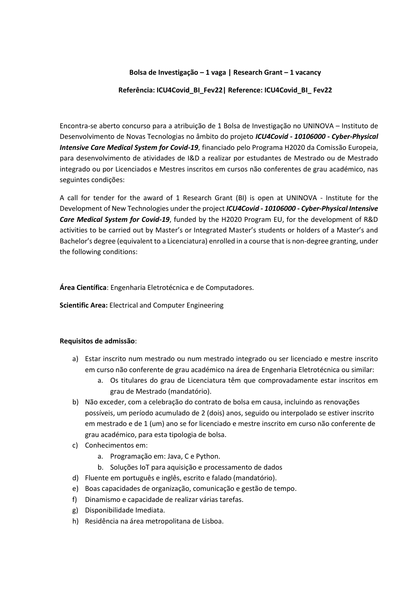### **Bolsa de Investigação – 1 vaga | Research Grant – 1 vacancy**

### **Referência: ICU4Covid\_BI\_Fev22| Reference: ICU4Covid\_BI\_ Fev22**

Encontra-se aberto concurso para a atribuição de 1 Bolsa de Investigação no UNINOVA – Instituto de Desenvolvimento de Novas Tecnologias no âmbito do projeto *ICU4Covid - 10106000 - Cyber-Physical Intensive Care Medical System for Covid-19*, financiado pelo Programa H2020 da Comissão Europeia, para desenvolvimento de atividades de I&D a realizar por estudantes de Mestrado ou de Mestrado integrado ou por Licenciados e Mestres inscritos em cursos não conferentes de grau académico, nas seguintes condições:

A call for tender for the award of 1 Research Grant (BI) is open at UNINOVA - Institute for the Development of New Technologies under the project *ICU4Covid - 10106000 - Cyber-Physical Intensive Care Medical System for Covid-19*, funded by the H2020 Program EU, for the development of R&D activities to be carried out by Master's or Integrated Master's students or holders of a Master's and Bachelor's degree (equivalent to a Licenciatura) enrolled in a course that is non-degree granting, under the following conditions:

**Área Científica**: Engenharia Eletrotécnica e de Computadores.

**Scientific Area:** Electrical and Computer Engineering

### **Requisitos de admissão**:

- a) Estar inscrito num mestrado ou num mestrado integrado ou ser licenciado e mestre inscrito em curso não conferente de grau académico na área de Engenharia Eletrotécnica ou similar:
	- a. Os titulares do grau de Licenciatura têm que comprovadamente estar inscritos em grau de Mestrado (mandatório).
- b) Não exceder, com a celebração do contrato de bolsa em causa, incluindo as renovações possíveis, um período acumulado de 2 (dois) anos, seguido ou interpolado se estiver inscrito em mestrado e de 1 (um) ano se for licenciado e mestre inscrito em curso não conferente de grau académico, para esta tipologia de bolsa.
- c) Conhecimentos em:
	- a. Programação em: Java, C e Python.
	- b. Soluções IoT para aquisição e processamento de dados
- d) Fluente em português e inglês, escrito e falado (mandatório).
- e) Boas capacidades de organização, comunicação e gestão de tempo.
- f) Dinamismo e capacidade de realizar várias tarefas.
- g) Disponibilidade Imediata.
- h) Residência na área metropolitana de Lisboa.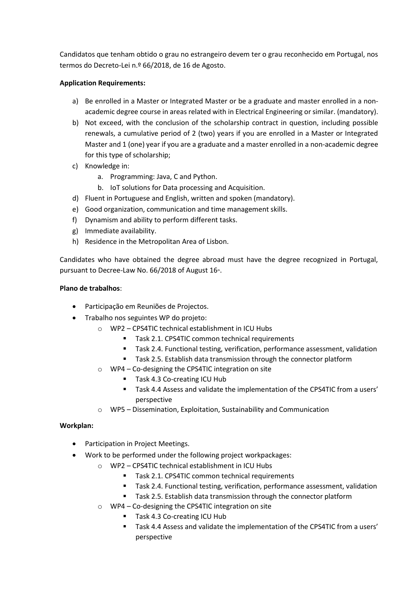Candidatos que tenham obtido o grau no estrangeiro devem ter o grau reconhecido em Portugal, nos termos do Decreto-Lei n.º 66/2018, de 16 de Agosto.

# **Application Requirements:**

- a) Be enrolled in a Master or Integrated Master or be a graduate and master enrolled in a nonacademic degree course in areas related with in Electrical Engineering or similar. (mandatory).
- b) Not exceed, with the conclusion of the scholarship contract in question, including possible renewals, a cumulative period of 2 (two) years if you are enrolled in a Master or Integrated Master and 1 (one) year if you are a graduate and a master enrolled in a non-academic degree for this type of scholarship;
- c) Knowledge in:
	- a. Programming: Java, C and Python.
	- b. IoT solutions for Data processing and Acquisition.
- d) Fluent in Portuguese and English, written and spoken (mandatory).
- e) Good organization, communication and time management skills.
- f) Dynamism and ability to perform different tasks.
- g) Immediate availability.
- h) Residence in the Metropolitan Area of Lisbon.

Candidates who have obtained the degree abroad must have the degree recognized in Portugal, pursuant to Decree-Law No. 66/2018 of August 16<sup>th</sup>.

# **Plano de trabalhos**:

- Participação em Reuniões de Projectos.
- Trabalho nos seguintes WP do projeto:
	- o WP2 CPS4TIC technical establishment in ICU Hubs
		- Task 2.1. CPS4TIC common technical requirements
		- Task 2.4. Functional testing, verification, performance assessment, validation
		- Task 2.5. Establish data transmission through the connector platform
	- o WP4 Co-designing the CPS4TIC integration on site
		- Task 4.3 Co-creating ICU Hub
		- Task 4.4 Assess and validate the implementation of the CPS4TIC from a users' perspective
	- o WP5 Dissemination, Exploitation, Sustainability and Communication

## **Workplan:**

- Participation in Project Meetings.
- Work to be performed under the following project workpackages:
	- o WP2 CPS4TIC technical establishment in ICU Hubs
		- Task 2.1. CPS4TIC common technical requirements
		- Task 2.4. Functional testing, verification, performance assessment, validation
		- Task 2.5. Establish data transmission through the connector platform
	- o WP4 Co-designing the CPS4TIC integration on site
		- Task 4.3 Co-creating ICU Hub
		- Task 4.4 Assess and validate the implementation of the CPS4TIC from a users' perspective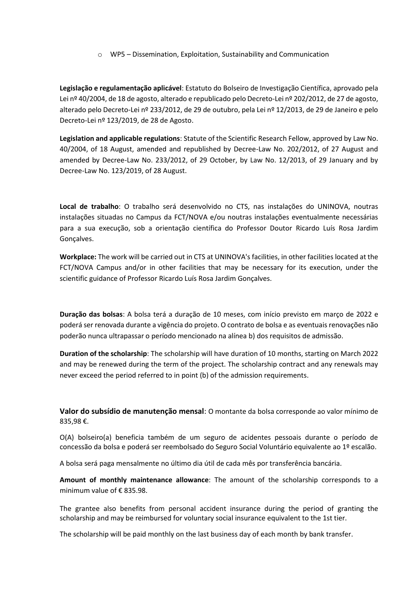o WP5 – Dissemination, Exploitation, Sustainability and Communication

**Legislação e regulamentação aplicável**: Estatuto do Bolseiro de Investigação Científica, aprovado pela Lei nº 40/2004, de 18 de agosto, alterado e republicado pelo Decreto-Lei nº 202/2012, de 27 de agosto, alterado pelo Decreto-Lei nº 233/2012, de 29 de outubro, pela Lei nº 12/2013, de 29 de Janeiro e pelo Decreto-Lei nº 123/2019, de 28 de Agosto.

**Legislation and applicable regulations**: Statute of the Scientific Research Fellow, approved by Law No. 40/2004, of 18 August, amended and republished by Decree-Law No. 202/2012, of 27 August and amended by Decree-Law No. 233/2012, of 29 October, by Law No. 12/2013, of 29 January and by Decree-Law No. 123/2019, of 28 August.

**Local de trabalho**: O trabalho será desenvolvido no CTS, nas instalações do UNINOVA, noutras instalações situadas no Campus da FCT/NOVA e/ou noutras instalações eventualmente necessárias para a sua execução, sob a orientação científica do Professor Doutor Ricardo Luís Rosa Jardim Gonçalves.

**Workplace:** The work will be carried out in CTS at UNINOVA's facilities, in other facilities located at the FCT/NOVA Campus and/or in other facilities that may be necessary for its execution, under the scientific guidance of Professor Ricardo Luís Rosa Jardim Gonçalves.

**Duração das bolsas**: A bolsa terá a duração de 10 meses, com início previsto em março de 2022 e poderá ser renovada durante a vigência do projeto. O contrato de bolsa e as eventuais renovações não poderão nunca ultrapassar o período mencionado na alínea b) dos requisitos de admissão.

**Duration of the scholarship**: The scholarship will have duration of 10 months, starting on March 2022 and may be renewed during the term of the project. The scholarship contract and any renewals may never exceed the period referred to in point (b) of the admission requirements.

**Valor do subsídio de manutenção mensal**: O montante da bolsa corresponde ao valor mínimo de 835,98 €.

O(A) bolseiro(a) beneficia também de um seguro de acidentes pessoais durante o período de concessão da bolsa e poderá ser reembolsado do Seguro Social Voluntário equivalente ao 1º escalão.

A bolsa será paga mensalmente no último dia útil de cada mês por transferência bancária.

**Amount of monthly maintenance allowance**: The amount of the scholarship corresponds to a minimum value of € 835.98.

The grantee also benefits from personal accident insurance during the period of granting the scholarship and may be reimbursed for voluntary social insurance equivalent to the 1st tier.

The scholarship will be paid monthly on the last business day of each month by bank transfer.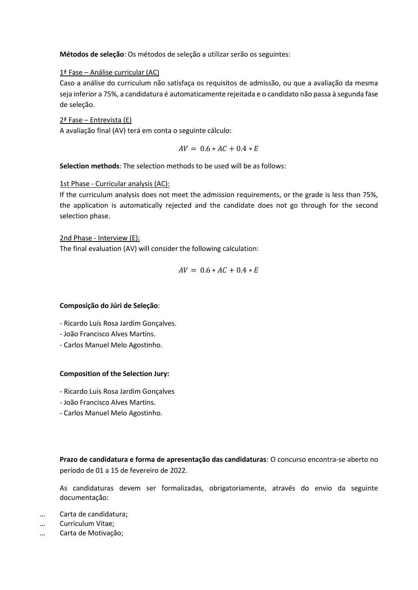**Métodos de seleção**: Os métodos de seleção a utilizar serão os seguintes:

## 1ª Fase – Análise curricular (AC)

Caso a análise do curriculum não satisfaça os requisitos de admissão, ou que a avaliação da mesma seja inferior a 75%, a candidatura é automaticamente rejeitada e o candidato não passa à segunda fase de seleção.

2ª Fase – Entrevista (E) A avaliação final (AV) terá em conta o seguinte cálculo:

$$
AV = 0.6 * AC + 0.4 * E
$$

**Selection methods**: The selection methods to be used will be as follows:

## 1st Phase - Curricular analysis (AC):

If the curriculum analysis does not meet the admission requirements, or the grade is less than 75%, the application is automatically rejected and the candidate does not go through for the second selection phase.

2nd Phase - Interview (E): The final evaluation (AV) will consider the following calculation:

$$
AV = 0.6 * AC + 0.4 * E
$$

### **Composição do Júri de Seleção**:

- Ricardo Luís Rosa Jardim Gonçalves.

- João Francisco Alves Martins.
- Carlos Manuel Melo Agostinho.

### **Composition of the Selection Jury:**

- Ricardo Luís Rosa Jardim Gonçalves
- João Francisco Alves Martins.
- Carlos Manuel Melo Agostinho.

**Prazo de candidatura e forma de apresentação das candidaturas**: O concurso encontra-se aberto no período de 01 a 15 de fevereiro de 2022.

As candidaturas devem ser formalizadas, obrigatoriamente, através do envio da seguinte documentação:

- … Carta de candidatura;
- … Curriculum Vitae;
- … Carta de Motivação;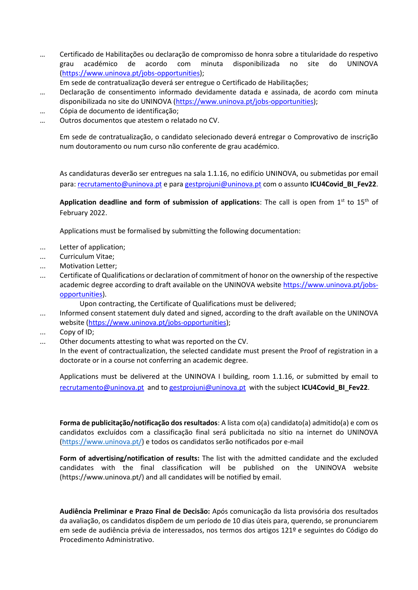… Certificado de Habilitações ou declaração de compromisso de honra sobre a titularidade do respetivo grau académico de acordo com minuta disponibilizada no site do UNINOVA [\(https://www.uninova.pt/jobs-opportunities\)](https://www.uninova.pt/jobs-opportunities);

Em sede de contratualização deverá ser entregue o Certificado de Habilitações;

- … Declaração de consentimento informado devidamente datada e assinada, de acordo com minuta disponibilizada no site do UNINOVA [\(https://www.uninova.pt/jobs-opportunities\)](https://www.uninova.pt/jobs-opportunities);
- … Cópia de documento de identificação;
- … Outros documentos que atestem o relatado no CV.

Em sede de contratualização, o candidato selecionado deverá entregar o Comprovativo de inscrição num doutoramento ou num curso não conferente de grau académico.

As candidaturas deverão ser entregues na sala 1.1.16, no edifício UNINOVA, ou submetidas por email para[: recrutamento@uninova.pt](mailto:recrutamento@uninova.pt) e par[a gestprojuni@uninova.pt](mailto:gestprojuni@uninova.pt) com o assunto **ICU4Covid\_BI\_Fev22**.

Application deadline and form of submission of applications: The call is open from 1<sup>st</sup> to 15<sup>th</sup> of February 2022.

Applications must be formalised by submitting the following documentation:

- ... Letter of application;
- ... Curriculum Vitae;
- Motivation Letter:
- ... Certificate of Qualifications or declaration of commitment of honor on the ownership of the respective academic degree according to draft available on the UNINOVA website [https://www.uninova.pt/jobs](https://www.uninova.pt/jobs-opportunities)[opportunities\)](https://www.uninova.pt/jobs-opportunities).

Upon contracting, the Certificate of Qualifications must be delivered;

- ... Informed consent statement duly dated and signed, according to the draft available on the UNINOVA website [\(https://www.uninova.pt/jobs-opportunities\)](https://www.uninova.pt/jobs-opportunities);
- ... Copy of ID;
- ... Other documents attesting to what was reported on the CV. In the event of contractualization, the selected candidate must present the Proof of registration in a doctorate or in a course not conferring an academic degree.

Applications must be delivered at the UNINOVA I building, room 1.1.16, or submitted by email to [recrutamento@uninova.pt](mailto:recrutamento@uninova.pt) and t[o gestprojuni@uninova.pt](mailto:gestprojuni@uninova.pt) with the subject **ICU4Covid\_BI\_Fev22**.

**Forma de publicitação/notificação dos resultados**: A lista com o(a) candidato(a) admitido(a) e com os candidatos excluídos com a classificação final será publicitada no sítio na internet do UNINOVA [\(https://www.uninova.pt/\)](https://www.uninova.pt/) e todos os candidatos serão notificados por e-mail

**Form of advertising/notification of results:** The list with the admitted candidate and the excluded candidates with the final classification will be published on the UNINOVA website (https://www.uninova.pt/) and all candidates will be notified by email.

**Audiência Preliminar e Prazo Final de Decisão:** Após comunicação da lista provisória dos resultados da avaliação, os candidatos dispõem de um período de 10 dias úteis para, querendo, se pronunciarem em sede de audiência prévia de interessados, nos termos dos artigos 121º e seguintes do Código do Procedimento Administrativo.